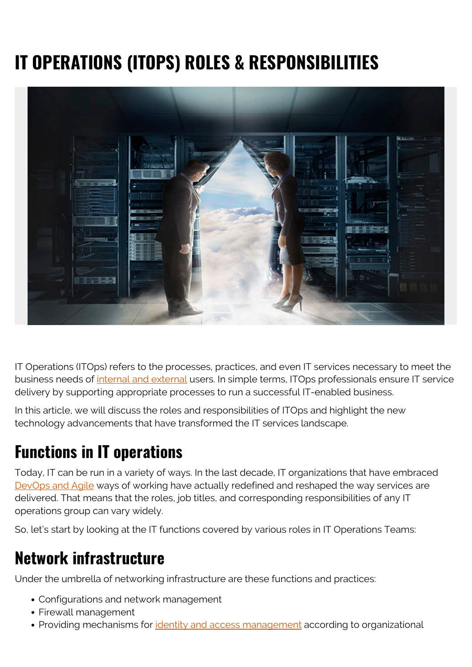# **IT OPERATIONS (ITOPS) ROLES & RESPONSIBILITIES**



IT Operations (ITOps) refers to the processes, practices, and even IT services necessary to meet the business needs of [internal and external](https://blogs.bmc.com/blogs/internal-vs-external-customers/) users. In simple terms, ITOps professionals ensure IT service delivery by supporting appropriate processes to run a successful IT-enabled business.

In this article, we will discuss the roles and responsibilities of ITOps and highlight the new technology advancements that have transformed the IT services landscape.

#### **Functions in IT operations**

Today, IT can be run in a variety of ways. In the last decade, IT organizations that have embraced [DevOps and Agile](https://blogs.bmc.com/blogs/devops-vs-agile-whats-the-difference-and-how-are-they-related/) ways of working have actually redefined and reshaped the way services are delivered. That means that the roles, job titles, and corresponding responsibilities of any IT operations group can vary widely.

So, let's start by looking at the IT functions covered by various roles in IT Operations Teams:

#### **Network infrastructure**

Under the umbrella of networking infrastructure are these functions and practices:

- Configurations and network management
- Firewall management
- Providing mechanisms for *identity and access management* according to organizational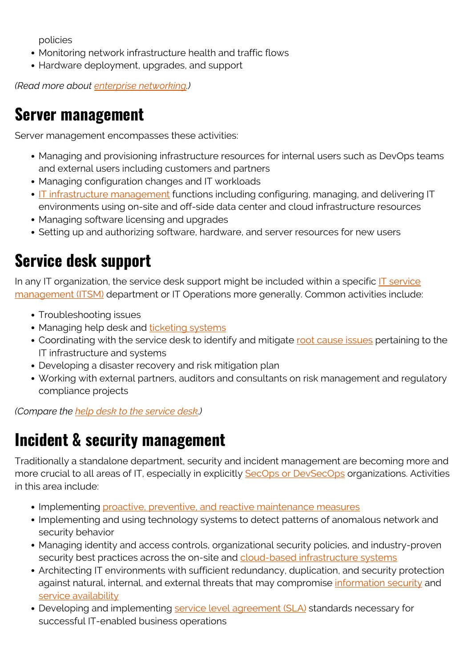policies

- Monitoring network infrastructure health and traffic flows
- Hardware deployment, upgrades, and support

*(Read more about [enterprise networking](https://blogs.bmc.com/blogs/enterprise-networking/).)*

#### **Server management**

Server management encompasses these activities:

- Managing and provisioning infrastructure resources for internal users such as DevOps teams and external users including customers and partners
- Managing configuration changes and IT workloads
- [IT infrastructure management](https://blogs.bmc.com/blogs/it-infrastructure/) functions including configuring, managing, and delivering IT environments using on-site and off-side data center and cloud infrastructure resources
- Managing software licensing and upgrades
- Setting up and authorizing software, hardware, and server resources for new users

### **Service desk support**

In any IT organization, the service desk support might be included within a specific  $IT$  service [management \(ITSM\)](https://blogs.bmc.com/blogs/itsm/) department or IT Operations more generally. Common activities include:

- Troubleshooting issues
- Managing help desk and [ticketing systems](https://blogs.bmc.com/blogs/it-ticketing-systems/)
- Coordinating with the service desk to identify and mitigate [root cause issues](https://blogs.bmc.com/blogs/root-cause-analysis/) pertaining to the IT infrastructure and systems
- Developing a disaster recovery and risk mitigation plan
- Working with external partners, auditors and consultants on risk management and regulatory compliance projects

*(Compare the [help desk to the service desk.](https://blogs.bmc.com/blogs/help-desk-vs-service-desk-whats-difference/))*

#### **Incident & security management**

Traditionally a standalone department, security and incident management are becoming more and more crucial to all areas of IT, especially in explicitly [SecOps or DevSecOps](https://blogs.bmc.com/blogs/secops-vs-devsecops/) organizations. Activities in this area include:

- Implementing [proactive, preventive, and reactive maintenance measures](https://blogs.bmc.com/blogs/reactive-vs-proactive-problem-management/)
- Implementing and using technology systems to detect patterns of anomalous network and security behavior
- Managing identity and access controls, organizational security policies, and industry-proven security best practices across the on-site and [cloud-based infrastructure systems](https://blogs.bmc.com/blogs/cloud-infrastructure/)
- Architecting IT environments with sufficient redundancy, duplication, and security protection against natural, internal, and external threats that may compromise [information security](https://blogs.bmc.com/blogs/infosec-information-security/) and [service availability](https://blogs.bmc.com/blogs/high-availability/)
- Developing and implementing [service level agreement \(SLA\)](https://blogs.bmc.com/blogs/sla-template-examples/) standards necessary for successful IT-enabled business operations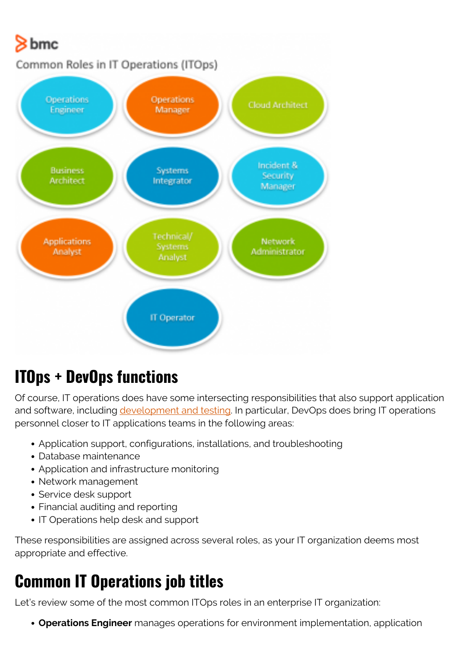

## **ITOps + DevOps functions**

Of course, IT operations does have some intersecting responsibilities that also support application and software, including [development and testing](https://blogs.bmc.com/blogs/sdlc-software-development-lifecycle/). In particular, DevOps does bring IT operations personnel closer to IT applications teams in the following areas:

- Application support, configurations, installations, and troubleshooting
- Database maintenance
- Application and infrastructure monitoring
- Network management
- Service desk support
- Financial auditing and reporting
- IT Operations help desk and support

These responsibilities are assigned across several roles, as your IT organization deems most appropriate and effective.

#### **Common IT Operations job titles**

Let's review some of the most common ITOps roles in an enterprise IT organization:

**Operations Engineer** manages operations for environment implementation, application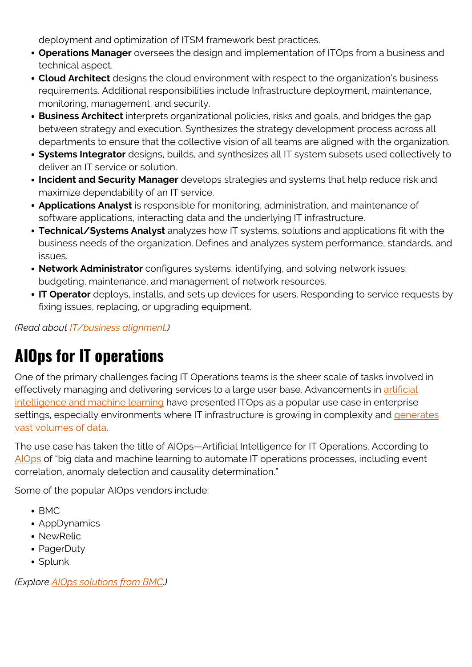deployment and optimization of ITSM framework best practices.

- **Operations Manager** oversees the design and implementation of ITOps from a business and technical aspect.
- **Cloud Architect** designs the cloud environment with respect to the organization's business requirements. Additional responsibilities include Infrastructure deployment, maintenance, monitoring, management, and security.
- **Business Architect** interprets organizational policies, risks and goals, and bridges the gap between strategy and execution. Synthesizes the strategy development process across all departments to ensure that the collective vision of all teams are aligned with the organization.
- **Systems Integrator** designs, builds, and synthesizes all IT system subsets used collectively to deliver an IT service or solution.
- **Incident and Security Manager** develops strategies and systems that help reduce risk and maximize dependability of an IT service.
- **Applications Analyst** is responsible for monitoring, administration, and maintenance of software applications, interacting data and the underlying IT infrastructure.
- **Technical/Systems Analyst** analyzes how IT systems, solutions and applications fit with the business needs of the organization. Defines and analyzes system performance, standards, and issues.
- **Network Administrator** configures systems, identifying, and solving network issues; budgeting, maintenance, and management of network resources.
- **IT Operator** deploys, installs, and sets up devices for users. Responding to service requests by fixing issues, replacing, or upgrading equipment.

*(Read about [IT/business alignment.](https://blogs.bmc.com/blogs/it-business-alignment/))*

## **AIOps for IT operations**

One of the primary challenges facing IT Operations teams is the sheer scale of tasks involved in effectively managing and delivering services to a large user base. Advancements in [artificial](https://blogs.bmc.com/blogs/artificial-intelligence-vs-machine-learning/) [intelligence and machine learning](https://blogs.bmc.com/blogs/artificial-intelligence-vs-machine-learning/) have presented ITOps as a popular use case in enterprise settings, especially environments where IT infrastructure is growing in complexity and [generates](https://blogs.bmc.com/blogs/big-data/) [vast volumes of data](https://blogs.bmc.com/blogs/big-data/).

The use case has taken the title of AIOps—Artificial Intelligence for IT Operations. According to AlOps of "big data and machine learning to automate IT operations processes, including event correlation, anomaly detection and causality determination."

Some of the popular AIOps vendors include:

- $\bullet$  BMC
- AppDynamics
- NewRelic
- PagerDuty
- Splunk

*(Explore [AIOps solutions from BMC.](https://blogs.bmc.com/it-solutions/aiops.html))*